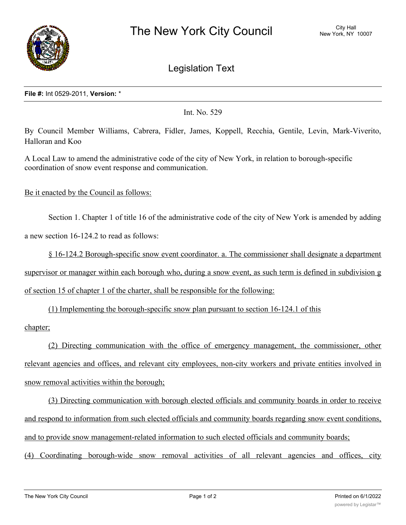

Legislation Text

## **File #:** Int 0529-2011, **Version:** \*

Int. No. 529

By Council Member Williams, Cabrera, Fidler, James, Koppell, Recchia, Gentile, Levin, Mark-Viverito, Halloran and Koo

A Local Law to amend the administrative code of the city of New York, in relation to borough-specific coordination of snow event response and communication.

Be it enacted by the Council as follows:

Section 1. Chapter 1 of title 16 of the administrative code of the city of New York is amended by adding a new section 16-124.2 to read as follows:

§ 16-124.2 Borough-specific snow event coordinator. a. The commissioner shall designate a department supervisor or manager within each borough who, during a snow event, as such term is defined in subdivision g of section 15 of chapter 1 of the charter, shall be responsible for the following:

(1) Implementing the borough-specific snow plan pursuant to section 16-124.1 of this

## chapter;

(2) Directing communication with the office of emergency management, the commissioner, other relevant agencies and offices, and relevant city employees, non-city workers and private entities involved in snow removal activities within the borough;

(3) Directing communication with borough elected officials and community boards in order to receive and respond to information from such elected officials and community boards regarding snow event conditions, and to provide snow management-related information to such elected officials and community boards;

(4) Coordinating borough-wide snow removal activities of all relevant agencies and offices, city